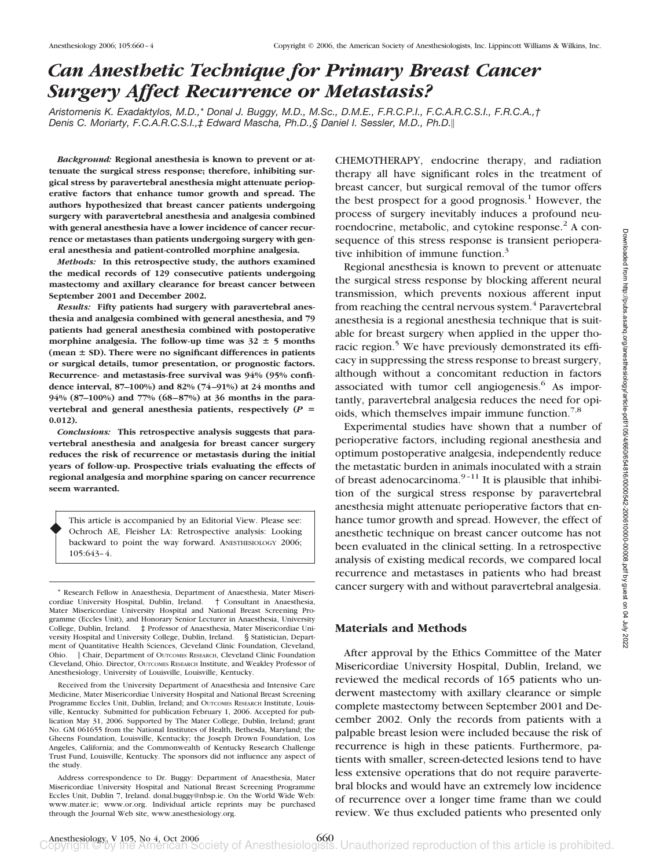# *Can Anesthetic Technique for Primary Breast Cancer Surgery Affect Recurrence or Metastasis?*

*Aristomenis K. Exadaktylos, M.D.,\* Donal J. Buggy, M.D., M.Sc., D.M.E., F.R.C.P.I., F.C.A.R.C.S.I., F.R.C.A.,† Denis C. Moriarty, F.C.A.R.C.S.I.,‡ Edward Mascha, Ph.D.,§ Daniel I. Sessler, M.D., Ph.D.*

*Background:* **Regional anesthesia is known to prevent or attenuate the surgical stress response; therefore, inhibiting surgical stress by paravertebral anesthesia might attenuate perioperative factors that enhance tumor growth and spread. The authors hypothesized that breast cancer patients undergoing surgery with paravertebral anesthesia and analgesia combined with general anesthesia have a lower incidence of cancer recurrence or metastases than patients undergoing surgery with general anesthesia and patient-controlled morphine analgesia.**

*Methods:* **In this retrospective study, the authors examined the medical records of 129 consecutive patients undergoing mastectomy and axillary clearance for breast cancer between September 2001 and December 2002.**

*Results:* **Fifty patients had surgery with paravertebral anesthesia and analgesia combined with general anesthesia, and 79 patients had general anesthesia combined with postoperative** morphine analgesia. The follow-up time was  $32 \pm 5$  months **(mean SD). There were no significant differences in patients or surgical details, tumor presentation, or prognostic factors. Recurrence- and metastasis-free survival was 94% (95% confidence interval, 87–100%) and 82% (74 –91%) at 24 months and** 94% (87–100%) and 77% (68–87%) at 36 months in the para**vertebral and general anesthesia patients, respectively (***P* - **0.012).**

*Conclusions:* **This retrospective analysis suggests that paravertebral anesthesia and analgesia for breast cancer surgery reduces the risk of recurrence or metastasis during the initial years of follow-up. Prospective trials evaluating the effects of regional analgesia and morphine sparing on cancer recurrence seem warranted.**

This article is accompanied by an Editorial View. Please see: Ochroch AE, Fleisher LA: Retrospective analysis: Looking backward to point the way forward. ANESTHESIOLOGY 2006; 105:643–4.

♦

CHEMOTHERAPY, endocrine therapy, and radiation therapy all have significant roles in the treatment of breast cancer, but surgical removal of the tumor offers the best prospect for a good prognosis.<sup>1</sup> However, the process of surgery inevitably induces a profound neuroendocrine, metabolic, and cytokine response. $<sup>2</sup>$  A con-</sup> sequence of this stress response is transient perioperative inhibition of immune function. $3$ 

Regional anesthesia is known to prevent or attenuate the surgical stress response by blocking afferent neural transmission, which prevents noxious afferent input from reaching the central nervous system.<sup>4</sup> Paravertebral anesthesia is a regional anesthesia technique that is suitable for breast surgery when applied in the upper thoracic region.<sup>5</sup> We have previously demonstrated its efficacy in suppressing the stress response to breast surgery, although without a concomitant reduction in factors associated with tumor cell angiogenesis.<sup>6</sup> As importantly, paravertebral analgesia reduces the need for opioids, which themselves impair immune function.<sup>7,8</sup>

Experimental studies have shown that a number of perioperative factors, including regional anesthesia and optimum postoperative analgesia, independently reduce the metastatic burden in animals inoculated with a strain of breast adenocarcinoma. $9-11$  It is plausible that inhibition of the surgical stress response by paravertebral anesthesia might attenuate perioperative factors that enhance tumor growth and spread. However, the effect of anesthetic technique on breast cancer outcome has not been evaluated in the clinical setting. In a retrospective analysis of existing medical records, we compared local recurrence and metastases in patients who had breast cancer surgery with and without paravertebral analgesia.

## **Materials and Methods**

After approval by the Ethics Committee of the Mater Misericordiae University Hospital, Dublin, Ireland, we reviewed the medical records of 165 patients who underwent mastectomy with axillary clearance or simple complete mastectomy between September 2001 and December 2002. Only the records from patients with a palpable breast lesion were included because the risk of recurrence is high in these patients. Furthermore, patients with smaller, screen-detected lesions tend to have less extensive operations that do not require paravertebral blocks and would have an extremely low incidence of recurrence over a longer time frame than we could review. We thus excluded patients who presented only

<sup>\*</sup> Research Fellow in Anaesthesia, Department of Anaesthesia, Mater Misericordiae University Hospital, Dublin, Ireland. Mater Misericordiae University Hospital and National Breast Screening Programme (Eccles Unit), and Honorary Senior Lecturer in Anaesthesia, University College, Dublin, Ireland. ‡ Professor of Anaesthesia, Mater Misericordiae University Hospital and University College, Dublin, Ireland. § Statistician, Department of Quantitative Health Sciences, Cleveland Clinic Foundation, Cleveland, Ohio. || Chair, Department of OUTCOMES RESEARCH, Cleveland Clinic Foundation Cleveland, Ohio. Director, OUTCOMES RESEARCH Institute, and Weakley Professor of Anesthesiology, University of Louisville, Louisville, Kentucky.

Received from the University Department of Anaesthesia and Intensive Care Medicine, Mater Misericordiae University Hospital and National Breast Screening Programme Eccles Unit, Dublin, Ireland; and OUTCOMES RESEARCH Institute, Louisville, Kentucky. Submitted for publication February 1, 2006. Accepted for publication May 31, 2006. Supported by The Mater College, Dublin, Ireland; grant No. GM 061655 from the National Institutes of Health, Bethesda, Maryland; the Gheens Foundation, Louisville, Kentucky; the Joseph Drown Foundation, Los Angeles, California; and the Commonwealth of Kentucky Research Challenge Trust Fund, Louisville, Kentucky. The sponsors did not influence any aspect of the study.

Address correspondence to Dr. Buggy: Department of Anaesthesia, Mater Misericordiae University Hospital and National Breast Screening Programme Eccles Unit, Dublin 7, Ireland. donal.buggy@nbsp.ie. On the World Wide Web: www.mater.ie; www.or.org. Individual article reprints may be purchased through the Journal Web site, www.anesthesiology.org.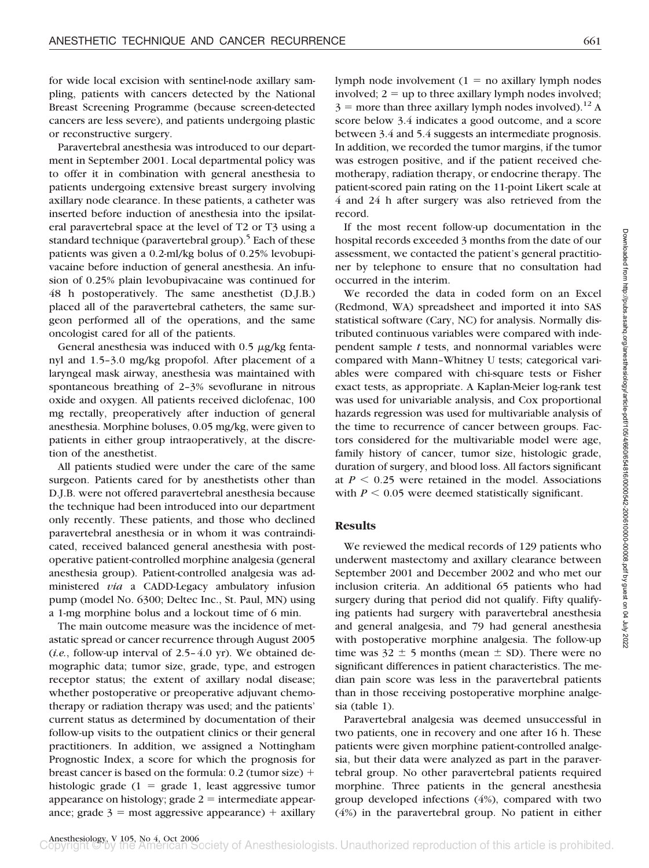for wide local excision with sentinel-node axillary sampling, patients with cancers detected by the National Breast Screening Programme (because screen-detected cancers are less severe), and patients undergoing plastic or reconstructive surgery.

Paravertebral anesthesia was introduced to our department in September 2001. Local departmental policy was to offer it in combination with general anesthesia to patients undergoing extensive breast surgery involving axillary node clearance. In these patients, a catheter was inserted before induction of anesthesia into the ipsilateral paravertebral space at the level of T2 or T3 using a standard technique (paravertebral group).<sup>5</sup> Each of these patients was given a 0.2-ml/kg bolus of 0.25% levobupivacaine before induction of general anesthesia. An infusion of 0.25% plain levobupivacaine was continued for 48 h postoperatively. The same anesthetist (D.J.B.) placed all of the paravertebral catheters, the same surgeon performed all of the operations, and the same oncologist cared for all of the patients.

General anesthesia was induced with  $0.5 \mu$ g/kg fentanyl and 1.5–3.0 mg/kg propofol. After placement of a laryngeal mask airway, anesthesia was maintained with spontaneous breathing of 2–3% sevoflurane in nitrous oxide and oxygen. All patients received diclofenac, 100 mg rectally, preoperatively after induction of general anesthesia. Morphine boluses, 0.05 mg/kg, were given to patients in either group intraoperatively, at the discretion of the anesthetist.

All patients studied were under the care of the same surgeon. Patients cared for by anesthetists other than D.J.B. were not offered paravertebral anesthesia because the technique had been introduced into our department only recently. These patients, and those who declined paravertebral anesthesia or in whom it was contraindicated, received balanced general anesthesia with postoperative patient-controlled morphine analgesia (general anesthesia group). Patient-controlled analgesia was administered *via* a CADD-Legacy ambulatory infusion pump (model No. 6300; Deltec Inc., St. Paul, MN) using a 1-mg morphine bolus and a lockout time of 6 min.

The main outcome measure was the incidence of metastatic spread or cancer recurrence through August 2005 (*i.e.*, follow-up interval of 2.5–4.0 yr). We obtained demographic data; tumor size, grade, type, and estrogen receptor status; the extent of axillary nodal disease; whether postoperative or preoperative adjuvant chemotherapy or radiation therapy was used; and the patients' current status as determined by documentation of their follow-up visits to the outpatient clinics or their general practitioners. In addition, we assigned a Nottingham Prognostic Index, a score for which the prognosis for breast cancer is based on the formula: 0.2 (tumor size) histologic grade  $(1 = \text{grade } 1, \text{ least aggressive tumor})$ appearance on histology; grade  $2 =$  intermediate appearance; grade  $3 =$  most aggressive appearance)  $+$  axillary

lymph node involvement  $(1 = no \text{ axillary lymph nodes})$ involved;  $2 = up$  to three axillary lymph nodes involved;  $3 =$  more than three axillary lymph nodes involved).<sup>12</sup> A score below 3.4 indicates a good outcome, and a score between 3.4 and 5.4 suggests an intermediate prognosis. In addition, we recorded the tumor margins, if the tumor was estrogen positive, and if the patient received chemotherapy, radiation therapy, or endocrine therapy. The patient-scored pain rating on the 11-point Likert scale at 4 and 24 h after surgery was also retrieved from the record.

If the most recent follow-up documentation in the hospital records exceeded 3 months from the date of our assessment, we contacted the patient's general practitioner by telephone to ensure that no consultation had occurred in the interim.

We recorded the data in coded form on an Excel (Redmond, WA) spreadsheet and imported it into SAS statistical software (Cary, NC) for analysis. Normally distributed continuous variables were compared with independent sample *t* tests, and nonnormal variables were compared with Mann–Whitney U tests; categorical variables were compared with chi-square tests or Fisher exact tests, as appropriate. A Kaplan-Meier log-rank test was used for univariable analysis, and Cox proportional hazards regression was used for multivariable analysis of the time to recurrence of cancer between groups. Factors considered for the multivariable model were age, family history of cancer, tumor size, histologic grade, duration of surgery, and blood loss. All factors significant at  $P \leq 0.25$  were retained in the model. Associations with  $P \leq 0.05$  were deemed statistically significant.

## **Results**

We reviewed the medical records of 129 patients who underwent mastectomy and axillary clearance between September 2001 and December 2002 and who met our inclusion criteria. An additional 65 patients who had surgery during that period did not qualify. Fifty qualifying patients had surgery with paravertebral anesthesia and general analgesia, and 79 had general anesthesia with postoperative morphine analgesia. The follow-up time was  $32 \pm 5$  months (mean  $\pm$  SD). There were no significant differences in patient characteristics. The median pain score was less in the paravertebral patients than in those receiving postoperative morphine analgesia (table 1).

Paravertebral analgesia was deemed unsuccessful in two patients, one in recovery and one after 16 h. These patients were given morphine patient-controlled analgesia, but their data were analyzed as part in the paravertebral group. No other paravertebral patients required morphine. Three patients in the general anesthesia group developed infections (4%), compared with two (4%) in the paravertebral group. No patient in either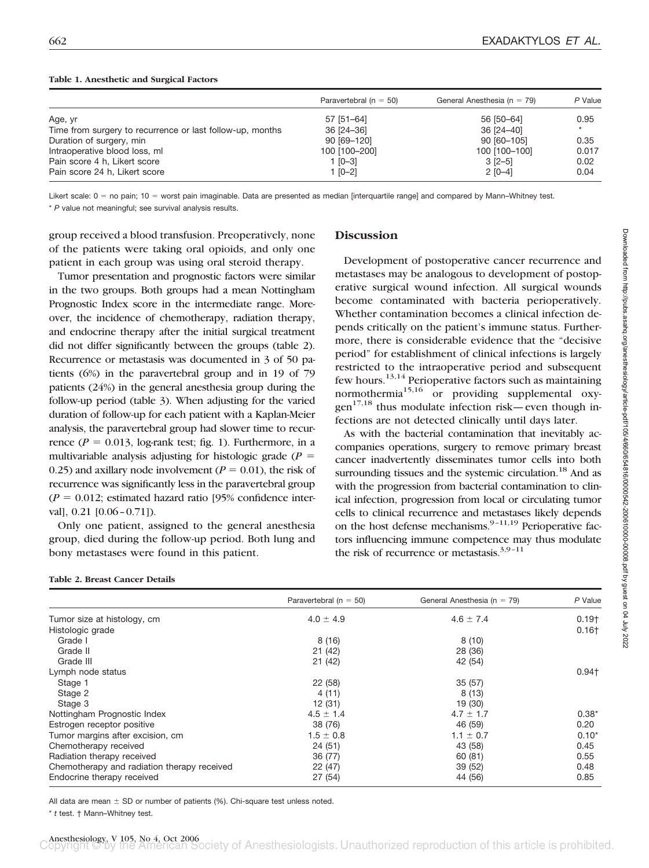|                                                           | Paravertebral ( $n = 50$ ) | General Anesthesia ( $n = 79$ ) | P Value |
|-----------------------------------------------------------|----------------------------|---------------------------------|---------|
| Age, yr                                                   | 57 [51-64]                 | 56 [50-64]                      | 0.95    |
| Time from surgery to recurrence or last follow-up, months | 36 [24-36]                 | 36 [24-40]                      |         |
| Duration of surgery, min                                  | 90 [69-120]                | 90 [60-105]                     | 0.35    |
| Intraoperative blood loss, ml                             | 100 [100-200]              | 100 [100-100]                   | 0.017   |
| Pain score 4 h, Likert score                              | $1$ [0-3]                  | $3$ $[2-5]$                     | 0.02    |
| Pain score 24 h, Likert score                             | $1 [0-2]$                  | $2$ [0-4]                       | 0.04    |

#### **Table 1. Anesthetic and Surgical Factors**

Likert scale: 0 = no pain; 10 = worst pain imaginable. Data are presented as median [interquartile range] and compared by Mann–Whitney test.

\* *P* value not meaningful; see survival analysis results.

group received a blood transfusion. Preoperatively, none of the patients were taking oral opioids, and only one patient in each group was using oral steroid therapy.

Tumor presentation and prognostic factors were similar in the two groups. Both groups had a mean Nottingham Prognostic Index score in the intermediate range. Moreover, the incidence of chemotherapy, radiation therapy, and endocrine therapy after the initial surgical treatment did not differ significantly between the groups (table 2). Recurrence or metastasis was documented in 3 of 50 patients (6%) in the paravertebral group and in 19 of 79 patients (24%) in the general anesthesia group during the follow-up period (table 3). When adjusting for the varied duration of follow-up for each patient with a Kaplan-Meier analysis, the paravertebral group had slower time to recurrence ( $P = 0.013$ , log-rank test; fig. 1). Furthermore, in a multivariable analysis adjusting for histologic grade  $(P =$ 0.25) and axillary node involvement ( $P = 0.01$ ), the risk of recurrence was significantly less in the paravertebral group  $(P = 0.012$ ; estimated hazard ratio [95% confidence interval], 0.21 [0.06–0.71]).

Only one patient, assigned to the general anesthesia group, died during the follow-up period. Both lung and bony metastases were found in this patient.

## **Discussion**

Development of postoperative cancer recurrence and metastases may be analogous to development of postoperative surgical wound infection. All surgical wounds become contaminated with bacteria perioperatively. Whether contamination becomes a clinical infection depends critically on the patient's immune status. Furthermore, there is considerable evidence that the "decisive period" for establishment of clinical infections is largely restricted to the intraoperative period and subsequent few hours.<sup>13,14</sup> Perioperative factors such as maintaining normothermia<sup>15,16</sup> or providing supplemental oxy $gen<sup>17,18</sup>$  thus modulate infection risk—even though infections are not detected clinically until days later.

As with the bacterial contamination that inevitably accompanies operations, surgery to remove primary breast cancer inadvertently disseminates tumor cells into both surrounding tissues and the systemic circulation.<sup>18</sup> And as with the progression from bacterial contamination to clinical infection, progression from local or circulating tumor cells to clinical recurrence and metastases likely depends on the host defense mechanisms. $9-11,19$  Perioperative factors influencing immune competence may thus modulate the risk of recurrence or metastasis. $3,9-11$ 

|                                             | Paravertebral ( $n = 50$ ) | General Anesthesia ( $n = 79$ ) | P Value  |
|---------------------------------------------|----------------------------|---------------------------------|----------|
| Tumor size at histology, cm                 | $4.0 \pm 4.9$              | $4.6 \pm 7.4$                   | $0.19+$  |
| Histologic grade                            |                            |                                 | $0.16+$  |
| Grade I                                     | 8(16)                      | 8(10)                           |          |
| Grade II                                    | 21(42)                     | 28 (36)                         |          |
| Grade III                                   | 21(42)                     | 42 (54)                         |          |
| Lymph node status                           |                            |                                 | $0.94 +$ |
| Stage 1                                     | 22 (58)                    | 35(57)                          |          |
| Stage 2                                     | 4(11)                      | 8(13)                           |          |
| Stage 3                                     | 12 (31)                    | 19 (30)                         |          |
| Nottingham Prognostic Index                 | $4.5 \pm 1.4$              | $4.7 \pm 1.7$                   | $0.38*$  |
| Estrogen receptor positive                  | 38 (76)                    | 46 (59)                         | 0.20     |
| Tumor margins after excision, cm            | $1.5 \pm 0.8$              | $1.1 \pm 0.7$                   | $0.10*$  |
| Chemotherapy received                       | 24(51)                     | 43 (58)                         | 0.45     |
| Radiation therapy received                  | 36 (77)                    | 60(81)                          | 0.55     |
| Chemotherapy and radiation therapy received | 22(47)                     | 39(52)                          | 0.48     |
| Endocrine therapy received                  | 27(54)                     | 44 (56)                         | 0.85     |

**Table 2. Breast Cancer Details**

All data are mean  $\pm$  SD or number of patients (%). Chi-square test unless noted.

\* *t* test. † Mann–Whitney test.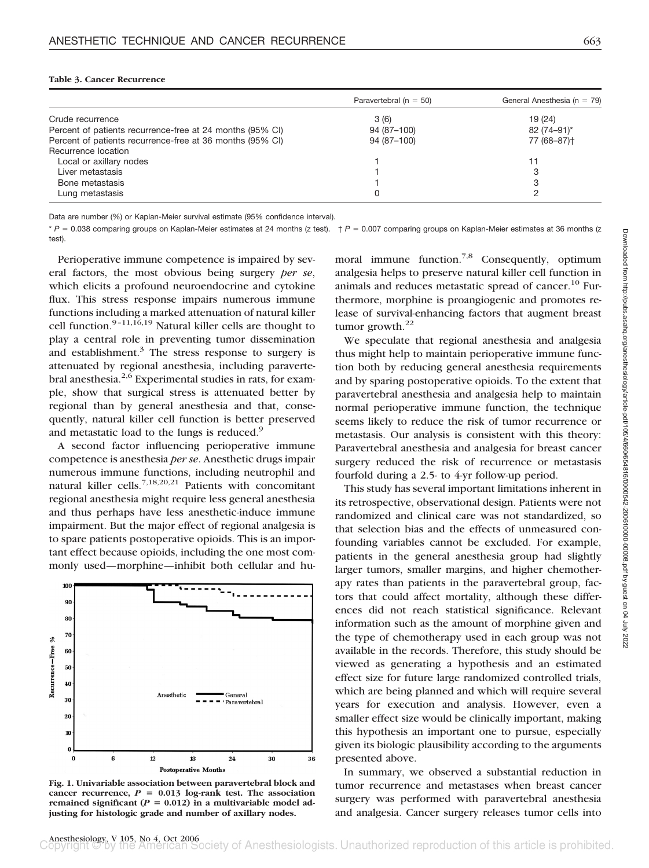|                                                           | Paravertebral ( $n = 50$ ) | General Anesthesia (n = 79) |
|-----------------------------------------------------------|----------------------------|-----------------------------|
| Crude recurrence                                          | 3(6)                       | 19 (24)                     |
| Percent of patients recurrence-free at 24 months (95% CI) | 94 (87-100)                | 82 (74-91)*                 |
| Percent of patients recurrence-free at 36 months (95% CI) | 94 (87-100)                | 77 (68-87) <sup>+</sup>     |
| Recurrence location                                       |                            |                             |
| Local or axillary nodes                                   |                            |                             |
| Liver metastasis                                          |                            | 3                           |
| Bone metastasis                                           |                            | 3                           |
| Lung metastasis                                           | 0                          |                             |

Data are number (%) or Kaplan-Meier survival estimate (95% confidence interval).

\* *P* = 0.038 comparing groups on Kaplan-Meier estimates at 24 months (z test).  $+$  *P* = 0.007 comparing groups on Kaplan-Meier estimates at 36 months (z test).

Perioperative immune competence is impaired by several factors, the most obvious being surgery *per se*, which elicits a profound neuroendocrine and cytokine flux. This stress response impairs numerous immune functions including a marked attenuation of natural killer cell function.9–11,16,19 Natural killer cells are thought to play a central role in preventing tumor dissemination and establishment.<sup>3</sup> The stress response to surgery is attenuated by regional anesthesia, including paravertebral anesthesia. $2.6$  Experimental studies in rats, for example, show that surgical stress is attenuated better by regional than by general anesthesia and that, consequently, natural killer cell function is better preserved and metastatic load to the lungs is reduced.<sup>9</sup>

A second factor influencing perioperative immune competence is anesthesia *per se*. Anesthetic drugs impair numerous immune functions, including neutrophil and natural killer cells.7,18,20,21 Patients with concomitant regional anesthesia might require less general anesthesia and thus perhaps have less anesthetic-induce immune impairment. But the major effect of regional analgesia is to spare patients postoperative opioids. This is an important effect because opioids, including the one most commonly used—morphine—inhibit both cellular and hu-



**Fig. 1. Univariable association between paravertebral block and** cancer recurrence,  $P = 0.013$  log-rank test. The association remained significant  $(P = 0.012)$  in a multivariable model ad**justing for histologic grade and number of axillary nodes.**

moral immune function.<sup>7,8</sup> Consequently, optimum analgesia helps to preserve natural killer cell function in animals and reduces metastatic spread of cancer.<sup>10</sup> Furthermore, morphine is proangiogenic and promotes release of survival-enhancing factors that augment breast tumor growth. $^{22}$ 

We speculate that regional anesthesia and analgesia thus might help to maintain perioperative immune function both by reducing general anesthesia requirements and by sparing postoperative opioids. To the extent that paravertebral anesthesia and analgesia help to maintain normal perioperative immune function, the technique seems likely to reduce the risk of tumor recurrence or metastasis. Our analysis is consistent with this theory: Paravertebral anesthesia and analgesia for breast cancer surgery reduced the risk of recurrence or metastasis fourfold during a 2.5- to 4-yr follow-up period.

This study has several important limitations inherent in its retrospective, observational design. Patients were not randomized and clinical care was not standardized, so that selection bias and the effects of unmeasured confounding variables cannot be excluded. For example, patients in the general anesthesia group had slightly larger tumors, smaller margins, and higher chemotherapy rates than patients in the paravertebral group, factors that could affect mortality, although these differences did not reach statistical significance. Relevant information such as the amount of morphine given and the type of chemotherapy used in each group was not available in the records. Therefore, this study should be viewed as generating a hypothesis and an estimated effect size for future large randomized controlled trials, which are being planned and which will require several years for execution and analysis. However, even a smaller effect size would be clinically important, making this hypothesis an important one to pursue, especially given its biologic plausibility according to the arguments presented above.

In summary, we observed a substantial reduction in tumor recurrence and metastases when breast cancer surgery was performed with paravertebral anesthesia and analgesia. Cancer surgery releases tumor cells into